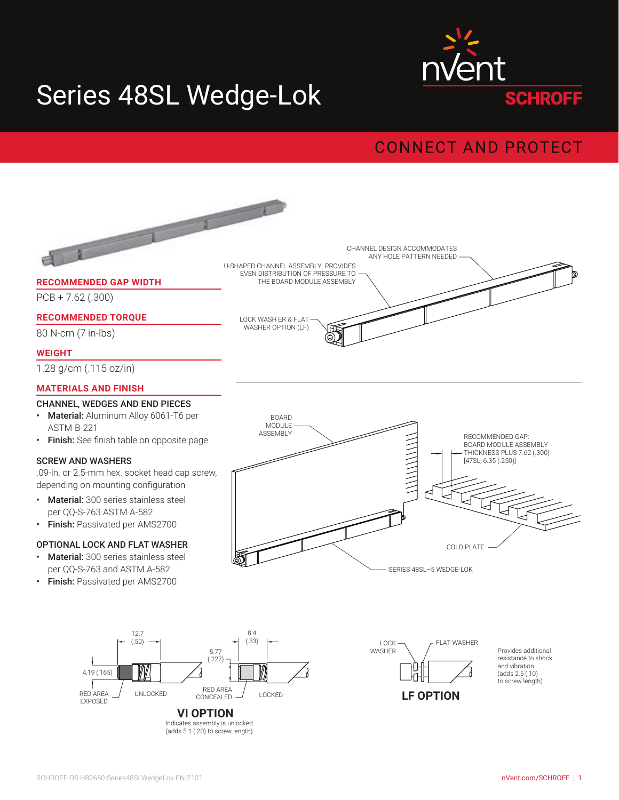

# Series 48SL Wedge-Lok

### **CONNECT AND PROTECT**

#### $\sqrt{2}$ CHANNEL DESIGN ACCOMMODATES ANY HOLE PATTERN NEEDED U-SHAPED CHANNEL ASSEMBLY. PROVIDES EVEN DISTRIBUTION OF PRESSURE TO **RECOMMENDED GAP WIDTH** THE BOARD MODULE ASSEMBLY PCB + 7.62 (.300) **RECOMMENDED TORQUE** LOCK WASH ER & FLAT WASHER OPTION (LF) 80 N-cm (7 in-lbs) Q) **WEIGHT** 1.28 g/cm (.115 oz/in) **MATERIALS AND FINISH** CHANNEL, WEDGES AND END PIECES • Material: Aluminum Alloy 6061-T6 per BOARD ASTM-B-221 MODULE ASSEMBLY<br>
RECOMMENDED GAP:<br>
BOARD MODULE ASSE<br>
THICKNESS PLUS 7.62<br>
(47SL; 6.35 (.250)) • Finish: See finish table on opposite page BOARD MODULE ASSEMBLY THICKNESS PLUS 7.62 (.300) SCREW AND WASHERS [47SL; 6.35 (.250)] .09-in. or 2.5-mm hex. socket head cap screw, depending on mounting configuration • Material: 300 series stainless steel per QQ-S-763 ASTM A-582 • Finish: Passivated per AMS2700 OPTIONAL LOCK AND FLAT WASHER COLD PLATE • Material: 300 series stainless steel per QQ-S-763 and ASTM A-582 SERIES 48SL–5 WEDGE-LOK • Finish: Passivated per AMS2700 8.4 12.7 (.50) (.33) LOCK FLAT WASHER **WASHER** Provides additional 5.77 resistance to shock (.227) and vibration 4.19 (.165) (adds 2.5 (.10) to screw length) RED AREA RED AREA UNLOCKED CONCEALED / LOCKED **LF OPTION**

EXPOSED

**VI OPTION** 

Indicates assembly is unlocked (adds 5.1 (.20) to screw length)